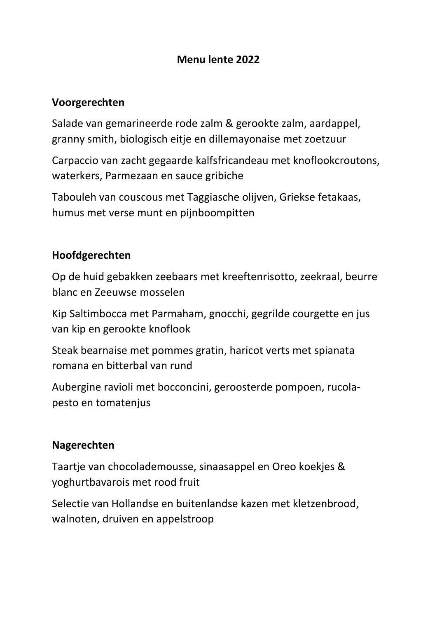# **Menu lente 2022**

## **Voorgerechten**

Salade van gemarineerde rode zalm & gerookte zalm, aardappel, granny smith, biologisch eitje en dillemayonaise met zoetzuur

Carpaccio van zacht gegaarde kalfsfricandeau met knoflookcroutons, waterkers, Parmezaan en sauce gribiche

Tabouleh van couscous met Taggiasche olijven, Griekse fetakaas, humus met verse munt en pijnboompitten

## **Hoofdgerechten**

Op de huid gebakken zeebaars met kreeftenrisotto, zeekraal, beurre blanc en Zeeuwse mosselen

Kip Saltimbocca met Parmaham, gnocchi, gegrilde courgette en jus van kip en gerookte knoflook

Steak bearnaise met pommes gratin, haricot verts met spianata romana en bitterbal van rund

Aubergine ravioli met bocconcini, geroosterde pompoen, rucolapesto en tomatenjus

## **Nagerechten**

Taartje van chocolademousse, sinaasappel en Oreo koekjes & yoghurtbavarois met rood fruit

Selectie van Hollandse en buitenlandse kazen met kletzenbrood, walnoten, druiven en appelstroop